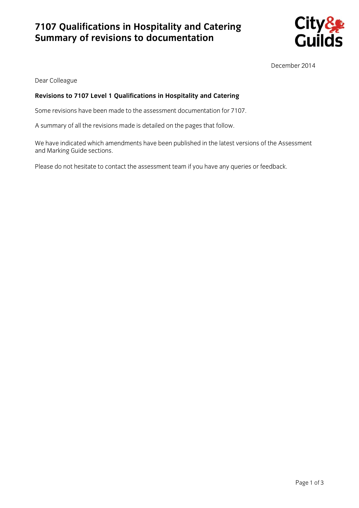# **7107 Qualifications in Hospitality and Catering Summary of revisions to documentation**



December 2014

Dear Colleague

#### **Revisions to 7107 Level 1 Qualifications in Hospitality and Catering**

Some revisions have been made to the assessment documentation for 7107.

A summary of all the revisions made is detailed on the pages that follow.

We have indicated which amendments have been published in the latest versions of the Assessment and Marking Guide sections.

Please do not hesitate to contact the assessment team if you have any queries or feedback.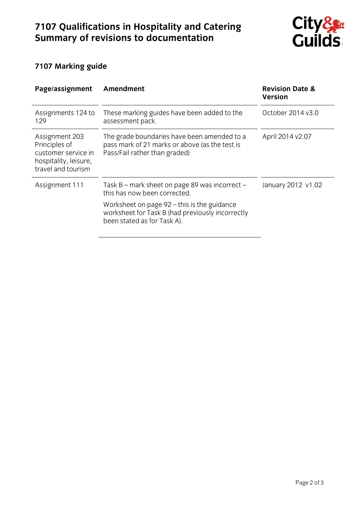# **7107 Qualifications in Hospitality and Catering Summary of revisions to documentation**



# **7107 Marking guide**

| Page/assignment                                                                                       | Amendment                                                                                                                        | <b>Revision Date &amp;</b><br><b>Version</b> |
|-------------------------------------------------------------------------------------------------------|----------------------------------------------------------------------------------------------------------------------------------|----------------------------------------------|
| Assignments 124 to<br>129                                                                             | These marking guides have been added to the<br>assessment pack.                                                                  | October 2014 v3.0                            |
| Assignment 203<br>Principles of<br>customer service in<br>hospitality, leisure,<br>travel and tourism | The grade boundaries have been amended to a<br>pass mark of 21 marks or above (as the test is<br>Pass/Fail rather than graded)   | April 2014 v2.07                             |
| Assignment 111                                                                                        | Task B - mark sheet on page 89 was incorrect -<br>this has now been corrected.                                                   | January 2012 v1.02                           |
|                                                                                                       | Worksheet on page $92 -$ this is the guidance<br>worksheet for Task B (had previously incorrectly<br>been stated as for Task A). |                                              |